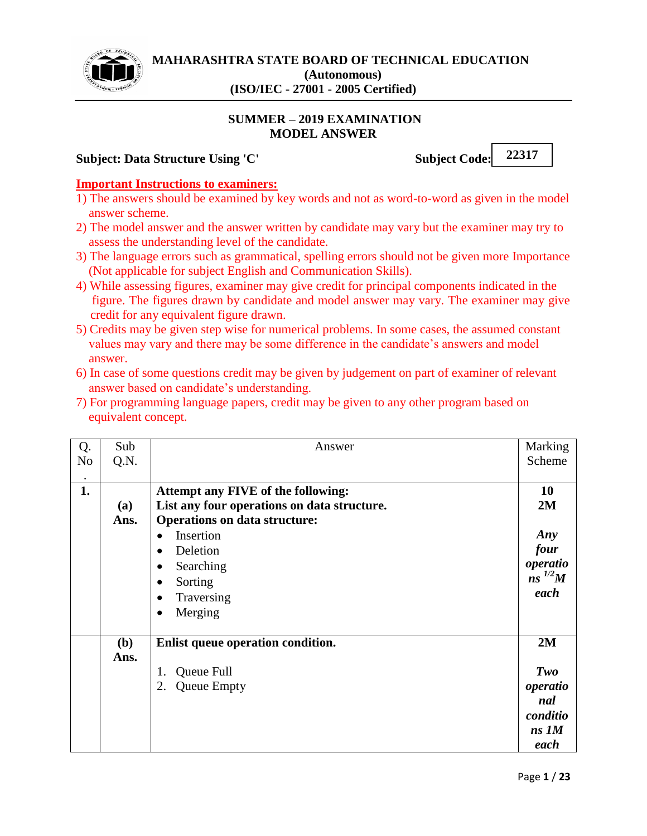

## **SUMMER – 2019 EXAMINATION MODEL ANSWER**

## **Subject: Data Structure Using 'C'** Subject Code:

**22317**

## **Important Instructions to examiners:**

- 1) The answers should be examined by key words and not as word-to-word as given in the model answer scheme.
- 2) The model answer and the answer written by candidate may vary but the examiner may try to assess the understanding level of the candidate.
- 3) The language errors such as grammatical, spelling errors should not be given more Importance (Not applicable for subject English and Communication Skills).
- 4) While assessing figures, examiner may give credit for principal components indicated in the figure. The figures drawn by candidate and model answer may vary. The examiner may give credit for any equivalent figure drawn.
- 5) Credits may be given step wise for numerical problems. In some cases, the assumed constant values may vary and there may be some difference in the candidate's answers and model answer.
- 6) In case of some questions credit may be given by judgement on part of examiner of relevant answer based on candidate's understanding.
- 7) For programming language papers, credit may be given to any other program based on equivalent concept.

| Q.             | Sub        | Answer                                      | Marking     |
|----------------|------------|---------------------------------------------|-------------|
| N <sub>o</sub> | Q.N.       |                                             | Scheme      |
|                |            |                                             |             |
| 1.             |            | Attempt any FIVE of the following:          | <b>10</b>   |
|                | <b>(a)</b> | List any four operations on data structure. | 2M          |
|                | Ans.       | <b>Operations on data structure:</b>        |             |
|                |            | Insertion<br>$\bullet$                      | Any         |
|                |            | Deletion<br>$\bullet$                       | four        |
|                |            | Searching<br>$\bullet$                      | operatio    |
|                |            | Sorting<br>$\bullet$                        | $ns^{1/2}M$ |
|                |            | Traversing<br>$\bullet$                     | each        |
|                |            | Merging<br>$\bullet$                        |             |
|                |            |                                             |             |
|                | (b)        | Enlist queue operation condition.           | 2M          |
|                | Ans.       |                                             |             |
|                |            | Queue Full<br>1.                            | Two         |
|                |            | <b>Queue Empty</b><br>2.                    | operatio    |
|                |            |                                             | nal         |
|                |            |                                             | conditio    |
|                |            |                                             | $ns$ $1M$   |
|                |            |                                             | each        |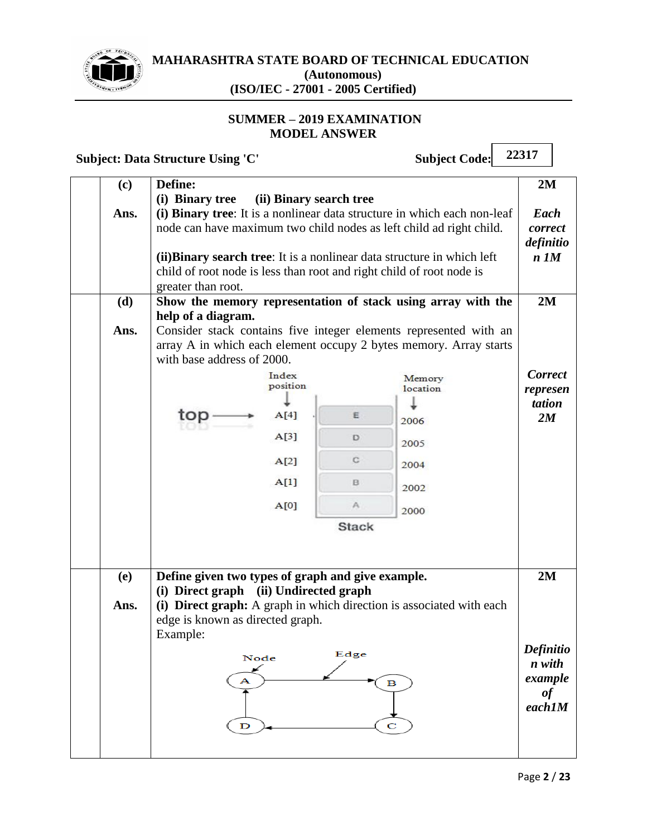

# **MAHARASHTRA STATE BOARD OF TECHNICAL EDUCATION (Autonomous)**

**(ISO/IEC - 27001 - 2005 Certified)**

# **SUMMER – 2019 EXAMINATION MODEL ANSWER**

**Subject: Data Structure Using 'C'** Subject Code:

| (c)  | Define:                                                                                                                                                               |                         |                          |                                                                                                                                                 | 2M                                                   |
|------|-----------------------------------------------------------------------------------------------------------------------------------------------------------------------|-------------------------|--------------------------|-------------------------------------------------------------------------------------------------------------------------------------------------|------------------------------------------------------|
|      | (i) Binary tree                                                                                                                                                       | (ii) Binary search tree |                          |                                                                                                                                                 |                                                      |
| Ans. | (ii) Binary search tree: It is a nonlinear data structure in which left<br>child of root node is less than root and right child of root node is<br>greater than root. |                         |                          | (i) Binary tree: It is a nonlinear data structure in which each non-leaf<br>node can have maximum two child nodes as left child ad right child. | Each<br>correct<br>definitio<br>$n$ $1M$             |
| (d)  |                                                                                                                                                                       |                         |                          | Show the memory representation of stack using array with the                                                                                    | 2M                                                   |
| Ans. | help of a diagram.<br>with base address of 2000.                                                                                                                      |                         |                          | Consider stack contains five integer elements represented with an<br>array A in which each element occupy 2 bytes memory. Array starts          |                                                      |
|      |                                                                                                                                                                       | Index<br>position       |                          | Memory<br>location                                                                                                                              | <b>Correct</b><br>represen                           |
|      |                                                                                                                                                                       |                         |                          |                                                                                                                                                 | tation                                               |
|      | top                                                                                                                                                                   | A[4]                    | E                        | 2006                                                                                                                                            | 2M                                                   |
|      |                                                                                                                                                                       | A[3]                    | D                        | 2005                                                                                                                                            |                                                      |
|      |                                                                                                                                                                       | A[2]                    | C                        | 2004                                                                                                                                            |                                                      |
|      |                                                                                                                                                                       | A[1]                    | B                        | 2002                                                                                                                                            |                                                      |
|      |                                                                                                                                                                       | A[0]                    | A.                       | 2000                                                                                                                                            |                                                      |
|      |                                                                                                                                                                       |                         | <b>Stack</b>             |                                                                                                                                                 |                                                      |
| (e)  | Define given two types of graph and give example.<br>(i) Direct graph (ii) Undirected graph                                                                           |                         |                          |                                                                                                                                                 | 2M                                                   |
| Ans. | edge is known as directed graph.<br>Example:                                                                                                                          |                         |                          | (i) Direct graph: A graph in which direction is associated with each                                                                            |                                                      |
|      | Node<br>А<br>$\mathbf D$                                                                                                                                              |                         | Edge<br>$\mathbf B$<br>C |                                                                                                                                                 | Definitio<br>n with<br>example<br>$\it of$<br>each1M |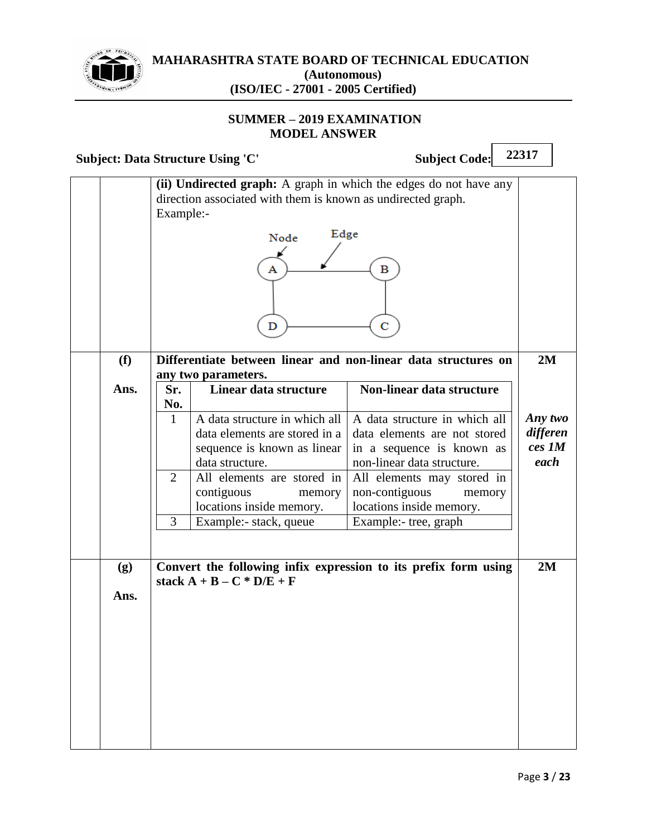

# **SUMMER – 2019 EXAMINATION MODEL ANSWER**

**Subject: Data Structure Using 'C'** Subject Code: **22317**

| (f)         | Example:-                     | direction associated with them is known as undirected graph.<br>Edge<br>Node<br>Α<br>D                                                                                                                                       | (ii) Undirected graph: A graph in which the edges do not have any<br>в<br>C<br>Differentiate between linear and non-linear data structures on                                                                                           | 2M                                    |
|-------------|-------------------------------|------------------------------------------------------------------------------------------------------------------------------------------------------------------------------------------------------------------------------|-----------------------------------------------------------------------------------------------------------------------------------------------------------------------------------------------------------------------------------------|---------------------------------------|
| Ans.        | Sr.                           | any two parameters.<br>Linear data structure                                                                                                                                                                                 | Non-linear data structure                                                                                                                                                                                                               |                                       |
|             | No.<br>$\mathbf{1}$<br>2<br>3 | A data structure in which all<br>data elements are stored in a<br>sequence is known as linear<br>data structure.<br>All elements are stored in<br>contiguous<br>memory<br>locations inside memory.<br>Example:- stack, queue | A data structure in which all<br>data elements are not stored<br>in a sequence is known as<br>non-linear data structure.<br>All elements may stored in<br>non-contiguous<br>memory<br>locations inside memory.<br>Example:- tree, graph | Any two<br>differen<br>ces 1M<br>each |
| (g)<br>Ans. |                               | stack $A + B - C * D/E + F$                                                                                                                                                                                                  | Convert the following infix expression to its prefix form using                                                                                                                                                                         | 2M                                    |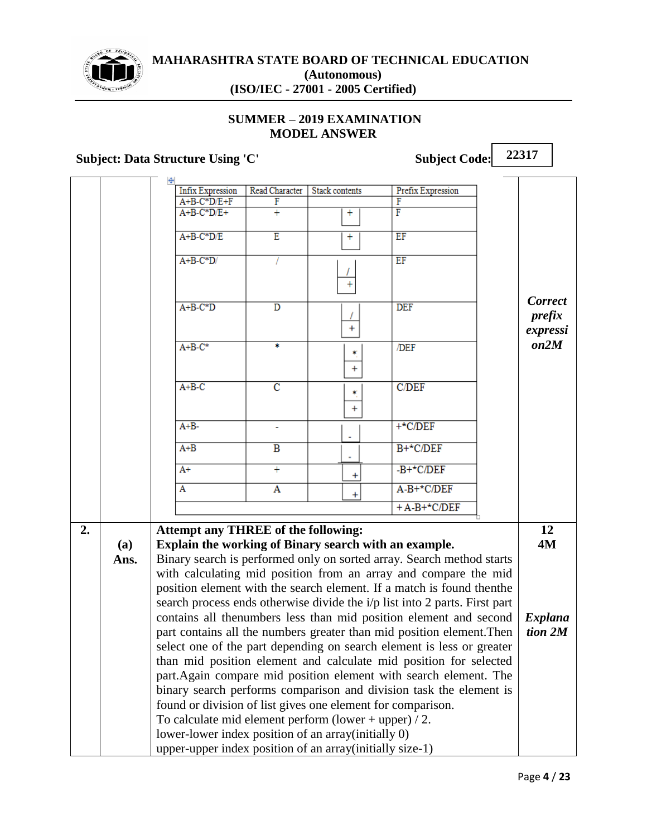

# **SUMMER – 2019 EXAMINATION MODEL ANSWER**

## **Subject: Data Structure Using 'C' Subject Code:**

**Infix Expression** Read Character **Stack contents Prefix Expression**  $A+B-C*D/E+F$ F F  $A+B-C*D/E+$  $\overline{+}$ F  $\ddagger$  $A+B-C*D/E$  $\overline{E}$  $\overline{+}$  $\overline{EF}$  $A + B - C^*D$ T  $\overline{FF}$ Ï  $\ddot{}$ *Correct*   $A+B-C*D$  $\overline{\texttt{D}}$ **DEF** *prefix*   $\ddot{}$ *expressi on2M*  $A+B-C^*$ ¥  $\overline{DEF}$  $\star$  $\ddot{}$  $A + B - C$  $\overline{\rm c}$  $C/DEF$  $\hat{\mathbf{r}}$  $\ddot{}$  $A+B +$ \*C/DEF L,  $A + B$  $\overline{B}$  $B+<sup>*</sup>C/DEF$  $A+$  $-B+<sup>*</sup>C/DEF$  $+$  $\ddot{}$  $A-B+<sup>*</sup>C/DEF$  $\overline{A}$  $\overline{\mathbf{A}}$  $\overline{+}$  $+A-B+<sup>*</sup>C/DEF$ **2. Attempt any THREE of the following: 12 Explain the working of Binary search with an example. 4M (a)** Binary search is performed only on sorted array. Search method starts **Ans.** with calculating mid position from an array and compare the mid position element with the search element. If a match is found thenthe search process ends otherwise divide the i/p list into 2 parts. First part contains all thenumbers less than mid position element and second *Explana* part contains all the numbers greater than mid position element.Then *tion 2M*select one of the part depending on search element is less or greater than mid position element and calculate mid position for selected part.Again compare mid position element with search element. The binary search performs comparison and division task the element is found or division of list gives one element for comparison. To calculate mid element perform (lower + upper)  $/ 2$ . lower-lower index position of an array(initially 0) upper-upper index position of an array(initially size-1)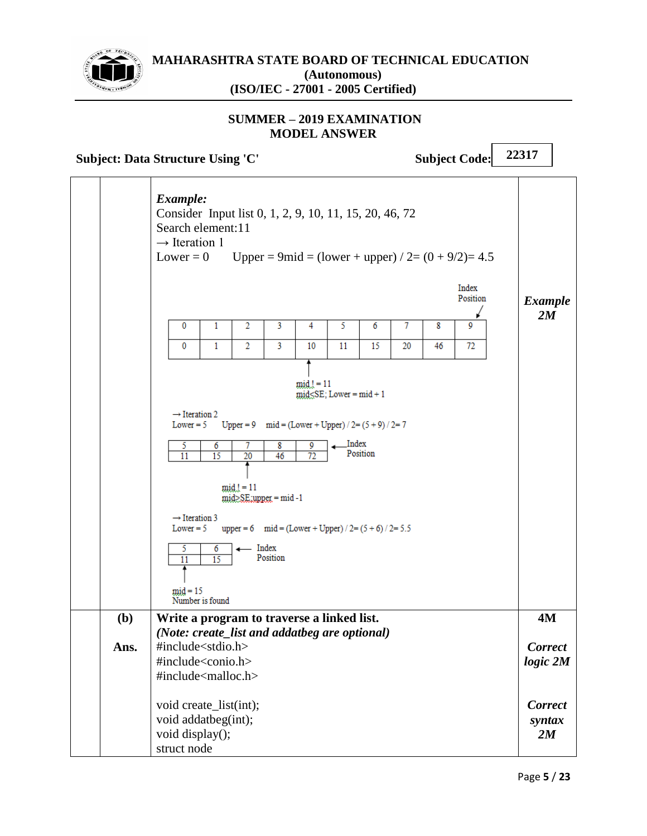

## **SUMMER – 2019 EXAMINATION MODEL ANSWER**

**Subject: Data Structure Using 'C'** Subject Code:

|      | Example:<br>Consider Input list 0, 1, 2, 9, 10, 11, 15, 20, 46, 72<br>Search element:11<br>$\rightarrow$ Iteration 1<br>Lower = $0$ |                            |                |                              |                          |                                                           |          |    |    | Upper = 9mid = $\text{(lower + upper)} / 2 = (0 + 9/2) = 4.5$<br>Index<br>Position | <b>Example</b><br>2M           |
|------|-------------------------------------------------------------------------------------------------------------------------------------|----------------------------|----------------|------------------------------|--------------------------|-----------------------------------------------------------|----------|----|----|------------------------------------------------------------------------------------|--------------------------------|
|      | 0                                                                                                                                   | 1                          | 2              | 3                            | 4                        | 5                                                         | 6        | 7  | 8  | 9                                                                                  |                                |
|      | 0                                                                                                                                   | $\mathbf{1}$               | $\overline{2}$ | 3                            | 10                       | 11                                                        | 15       | 20 | 46 | 72                                                                                 |                                |
|      | $\rightarrow$ Iteration 2                                                                                                           |                            |                |                              | $mid_{\mathcal{A}} = 11$ | $mid\_SE$ ; Lower = $mid + 1$                             |          |    |    |                                                                                    |                                |
|      | Lower $= 5$                                                                                                                         |                            |                |                              |                          | Upper = 9 $mid = (Lower + Upper) / 2 = (5 + 9) / 2 = 7$   |          |    |    |                                                                                    |                                |
|      | 5<br>$\overline{11}$                                                                                                                | 6<br>$\overline{15}$       | 7<br>20        | 8<br>46                      | 9<br>$\overline{72}$     | Index                                                     | Position |    |    |                                                                                    |                                |
|      |                                                                                                                                     |                            | $mid!=11$      | $mid \geq SE$ :upper = mid-1 |                          |                                                           |          |    |    |                                                                                    |                                |
|      | $\rightarrow$ Iteration 3<br>Lower $= 5$                                                                                            |                            |                |                              |                          | upper = 6 $mid = (Lower + Upper) / 2 = (5 + 6) / 2 = 5.5$ |          |    |    |                                                                                    |                                |
|      | 5<br>11<br>$mid = 15$                                                                                                               | 6<br>15<br>Number is found |                | Index<br>Position            |                          |                                                           |          |    |    |                                                                                    |                                |
| (b)  | Write a program to traverse a linked list.                                                                                          |                            |                |                              |                          |                                                           |          |    |    |                                                                                    | <b>4M</b>                      |
|      | (Note: create_list and addatbeg are optional)                                                                                       |                            |                |                              |                          |                                                           |          |    |    |                                                                                    |                                |
| Ans. | #include <stdio.h><br/>#include<conio.h></conio.h></stdio.h>                                                                        |                            |                |                              |                          |                                                           |          |    |    |                                                                                    | <b>Correct</b><br>$logic\ 2M$  |
|      | #include <malloc.h></malloc.h>                                                                                                      |                            |                |                              |                          |                                                           |          |    |    |                                                                                    |                                |
|      | void create_list(int);<br>void addatbeg(int);<br>void display();<br>struct node                                                     |                            |                |                              |                          |                                                           |          |    |    |                                                                                    | <b>Correct</b><br>syntax<br>2M |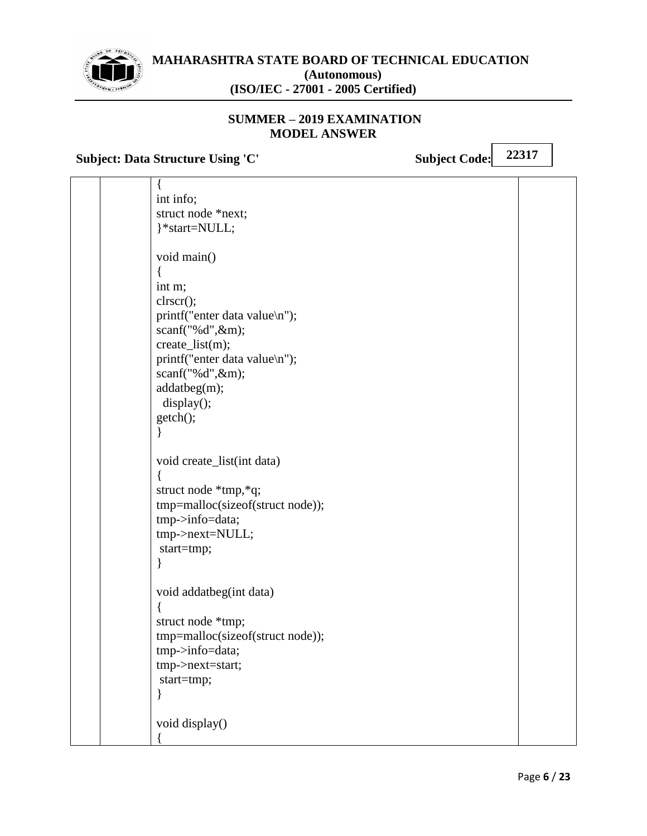

## **SUMMER – 2019 EXAMINATION MODEL ANSWER**

**Subject: Data Structure Using 'C'** Subject Code:

|  | int info;                        |  |
|--|----------------------------------|--|
|  | struct node *next;               |  |
|  | }*start=NULL;                    |  |
|  |                                  |  |
|  | void main()                      |  |
|  |                                  |  |
|  | int m;                           |  |
|  | clrscr();                        |  |
|  | printf("enter data value\n");    |  |
|  | scanf("%d",&m);                  |  |
|  | create_list(m);                  |  |
|  | printf("enter data value\n");    |  |
|  | scanf("%d",&m);                  |  |
|  | addatbeg(m);                     |  |
|  | display();                       |  |
|  | getch();                         |  |
|  |                                  |  |
|  |                                  |  |
|  | void create_list(int data)       |  |
|  |                                  |  |
|  | struct node *tmp,*q;             |  |
|  | tmp=malloc(sizeof(struct node)); |  |
|  | tmp->info=data;                  |  |
|  | tmp->next=NULL;                  |  |
|  | start=tmp;                       |  |
|  |                                  |  |
|  |                                  |  |
|  | void addatbeg(int data)          |  |
|  |                                  |  |
|  | struct node *tmp;                |  |
|  | tmp=malloc(sizeof(struct node)); |  |
|  | tmp->info=data;                  |  |
|  | tmp->next=start;                 |  |
|  | start=tmp;                       |  |
|  |                                  |  |
|  |                                  |  |
|  | void display()                   |  |
|  |                                  |  |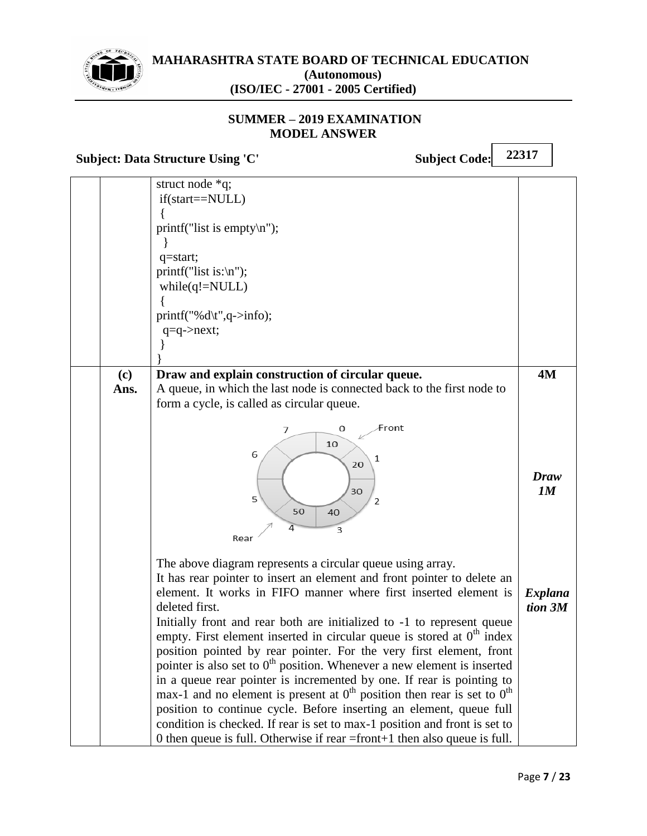

## **SUMMER – 2019 EXAMINATION MODEL ANSWER**

**Subject: Data Structure Using 'C'** Subject Code:

|             | struct node *q;<br>if(start==NULL)<br>printf("list is empty $\langle n''$ );<br>q=start;<br>$print("list is:\n'n");$<br>$while(q!= NULL)$<br>$printf("%d\rtv",q>info);$<br>$q = q$ ->next;                                                                                                                                                                                                                                                                                                                                                                                                                                                                                                                                                                                                                                                                                                                                         |                           |
|-------------|------------------------------------------------------------------------------------------------------------------------------------------------------------------------------------------------------------------------------------------------------------------------------------------------------------------------------------------------------------------------------------------------------------------------------------------------------------------------------------------------------------------------------------------------------------------------------------------------------------------------------------------------------------------------------------------------------------------------------------------------------------------------------------------------------------------------------------------------------------------------------------------------------------------------------------|---------------------------|
|             |                                                                                                                                                                                                                                                                                                                                                                                                                                                                                                                                                                                                                                                                                                                                                                                                                                                                                                                                    |                           |
| (c)<br>Ans. | Draw and explain construction of circular queue.<br>A queue, in which the last node is connected back to the first node to<br>form a cycle, is called as circular queue.                                                                                                                                                                                                                                                                                                                                                                                                                                                                                                                                                                                                                                                                                                                                                           | 4M                        |
|             | Front<br>0<br>7<br>10<br>6<br>1<br>20<br>30<br>5<br>2<br>50<br>40<br>3<br>Rear                                                                                                                                                                                                                                                                                                                                                                                                                                                                                                                                                                                                                                                                                                                                                                                                                                                     | Draw<br>1M                |
|             | The above diagram represents a circular queue using array.<br>It has rear pointer to insert an element and front pointer to delete an<br>element. It works in FIFO manner where first inserted element is<br>deleted first.<br>Initially front and rear both are initialized to -1 to represent queue<br>empty. First element inserted in circular queue is stored at $0th$ index<br>position pointed by rear pointer. For the very first element, front<br>pointer is also set to $0th$ position. Whenever a new element is inserted<br>in a queue rear pointer is incremented by one. If rear is pointing to<br>max-1 and no element is present at $0th$ position then rear is set to $0th$<br>position to continue cycle. Before inserting an element, queue full<br>condition is checked. If rear is set to max-1 position and front is set to<br>0 then queue is full. Otherwise if rear = front + 1 then also queue is full. | <b>Explana</b><br>tion 3M |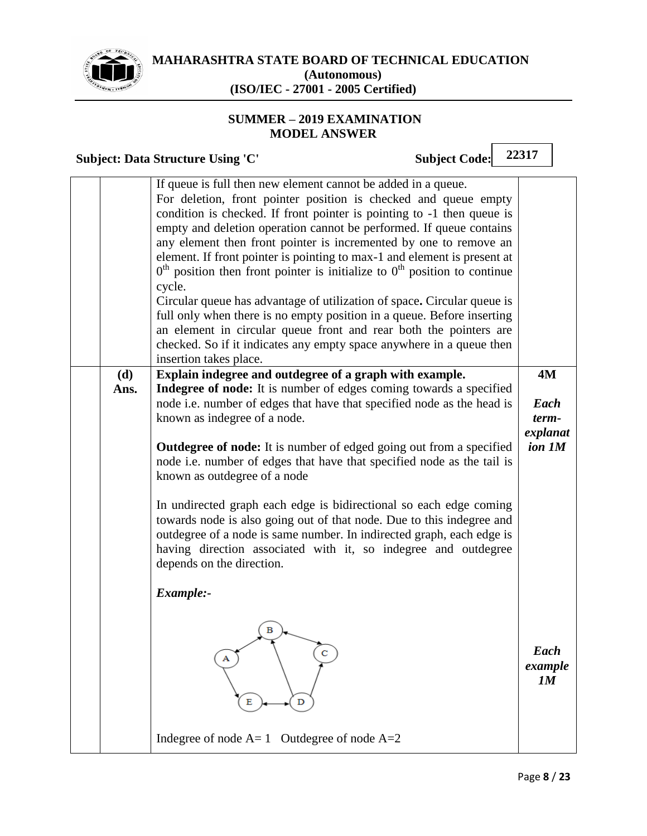

## **SUMMER – 2019 EXAMINATION MODEL ANSWER**

**22317 Subject: Data Structure Using 'C' Subject Code:** If queue is full then new element cannot be added in a queue. For deletion, front pointer position is checked and queue empty condition is checked. If front pointer is pointing to -1 then queue is empty and deletion operation cannot be performed. If queue contains any element then front pointer is incremented by one to remove an element. If front pointer is pointing to max-1 and element is present at  $0<sup>th</sup>$  position then front pointer is initialize to  $0<sup>th</sup>$  position to continue cycle. Circular queue has advantage of utilization of space**.** Circular queue is full only when there is no empty position in a queue. Before inserting an element in circular queue front and rear both the pointers are checked. So if it indicates any empty space anywhere in a queue then insertion takes place. **Explain indegree and outdegree of a graph with example. 4M (d) Ans. Indegree of node:** It is number of edges coming towards a specified node i.e. number of edges that have that specified node as the head is *Each term*known as indegree of a node. *explanat* **Outdegree of node:** It is number of edged going out from a specified *ion 1M* node i.e. number of edges that have that specified node as the tail is known as outdegree of a node In undirected graph each edge is bidirectional so each edge coming towards node is also going out of that node. Due to this indegree and outdegree of a node is same number. In indirected graph, each edge is having direction associated with it, so indegree and outdegree depends on the direction. *Example:-*  $\mathbf B$ *Each example 1M*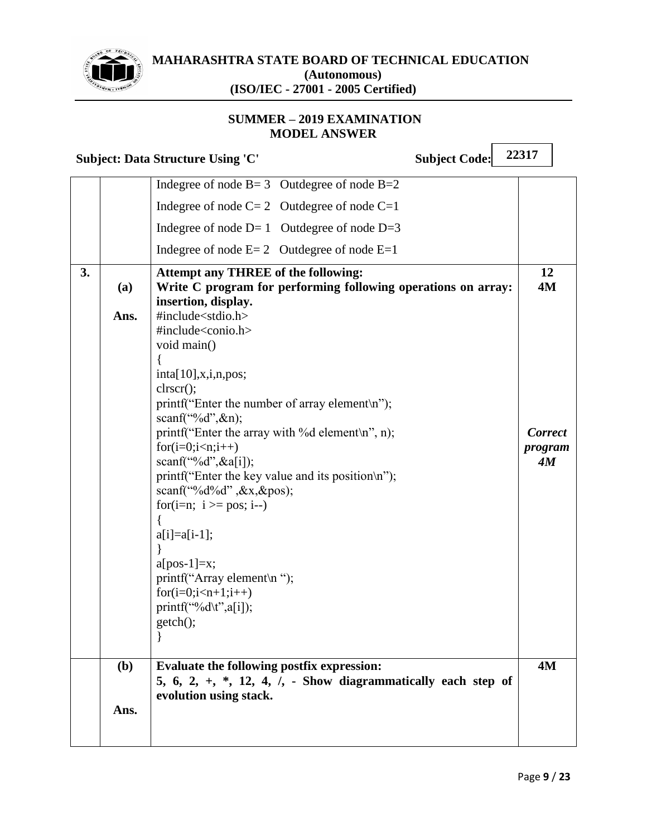

## **SUMMER – 2019 EXAMINATION MODEL ANSWER**

|    |             | <b>Subject: Data Structure Using 'C'</b>                                                                                                                                                                                                                                                                                                                       | <b>Subject Code:</b> | 22317                           |
|----|-------------|----------------------------------------------------------------------------------------------------------------------------------------------------------------------------------------------------------------------------------------------------------------------------------------------------------------------------------------------------------------|----------------------|---------------------------------|
|    |             | Indegree of node $B = 3$ Outdegree of node $B = 2$                                                                                                                                                                                                                                                                                                             |                      |                                 |
|    |             | Indegree of node $C = 2$ Outdegree of node $C = 1$                                                                                                                                                                                                                                                                                                             |                      |                                 |
|    |             | Indegree of node $D=1$ Outdegree of node $D=3$                                                                                                                                                                                                                                                                                                                 |                      |                                 |
|    |             | Indegree of node $E = 2$ Outdegree of node $E = 1$                                                                                                                                                                                                                                                                                                             |                      |                                 |
| 3. | (a)<br>Ans. | <b>Attempt any THREE of the following:</b><br>Write C program for performing following operations on array:<br>insertion, display.<br>#include <stdio.h><br/>#include<conio.h><br/>void main()<br/>inta[10], x,i,n,pos;<br/>clrscr();</conio.h></stdio.h>                                                                                                      |                      | 12<br>4M                        |
|    |             | printf("Enter the number of array element\n");<br>scanf("%d", $\&$ n);<br>printf("Enter the array with %d element\n", n);<br>$for(i=0;iscanf("%d", \&a[i]);printf("Enter the key value and its position\n");scanf("%d%d", &x,&ypos);for(i=n; i \ge pos; i--)a[i]=a[i-1];a[pos-1]=x;printf("Array element\n");for(i=0;i < n+1;i++)printf("%d\t",a[i]);getch();$ |                      | <b>Correct</b><br>program<br>4M |
|    | (b)<br>Ans. | Evaluate the following postfix expression:<br>5, 6, 2, $+$ , $*$ , 12, 4, $\ell$ , - Show diagrammatically each step of<br>evolution using stack.                                                                                                                                                                                                              |                      | 4M                              |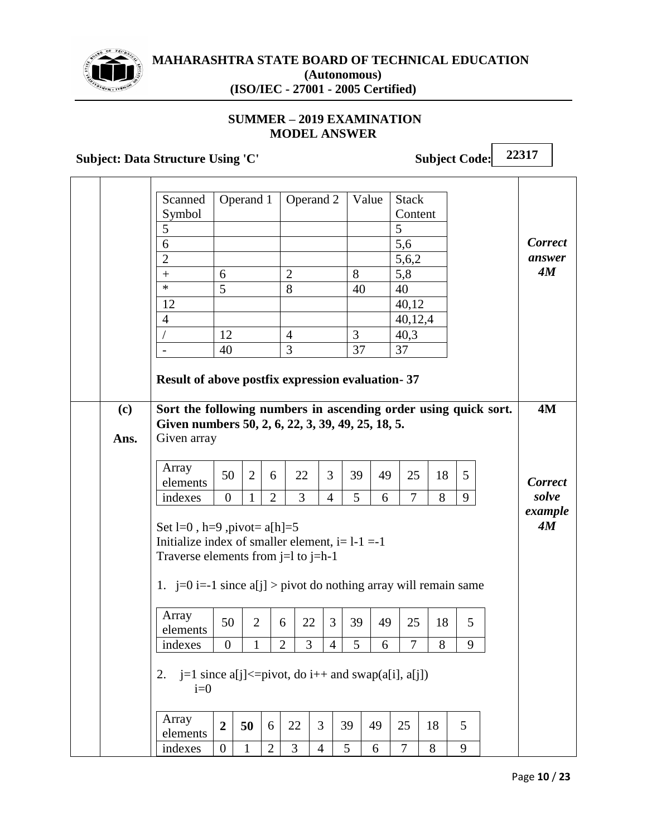

**(c)**

**Ans.**

### **MAHARASHTRA STATE BOARD OF TECHNICAL EDUCATION (Autonomous) (ISO/IEC - 27001 - 2005 Certified)**

## **SUMMER – 2019 EXAMINATION MODEL ANSWER**

**Subject: Data Structure Using 'C'** Subject Code: **22317** Scanned Symbol Operand 1 | Operand 2 | Value | Stack Content 5 5 6 5,6 2 5,6,2 +  $\begin{array}{|c|c|c|c|c|c|} \hline 6 & 2 & 8 & 5,8 \ \hline \end{array}$ \*  $\begin{array}{|c|c|c|c|c|} \hline 5 & 8 & 40 & 40 \ \hline \end{array}$ 12  $\vert$  40,12 4 40,12,4  $/$  12 4 3 40,3  $-$  40 3 37 37 **Result of above postfix expression evaluation- 37** *Correct answer 4M* **Sort the following numbers in ascending order using quick sort. Given numbers 50, 2, 6, 22, 3, 39, 49, 25, 18, 5.** Given array Array elements  $50$  2 6 22 3 39 49 25 18 5 indexes 0 1 2 3 4 5 6 7 8 9 Set l=0, h=9, pivot=  $a[h]=5$ Initialize index of smaller element,  $i=1-1$  =-1 Traverse elements from  $j=1$  to  $j=h-1$ 1. j=0 i=-1 since a[j] > pivot do nothing array will remain same Array elements  $50 \mid 2 \mid 6 \mid 22 \mid 3 \mid 39 \mid 49 \mid 25 \mid 18 \mid 5$ **4M** *Correct solve example 4M*

# 2. j=1 since a[j] $\le$ =pivot, do i++ and swap(a[i], a[j])  $i=0$

| elements      | -<br>◢ | $\mathbf{z}$<br>IJυ | u      | ــ | ັ |   |  |  |
|---------------|--------|---------------------|--------|----|---|---|--|--|
| <i>ndexes</i> | ື      |                     | ∽<br>∸ | ັ  |   | ັ |  |  |

indexes 0 1 2 3 4 5 6 7 8 9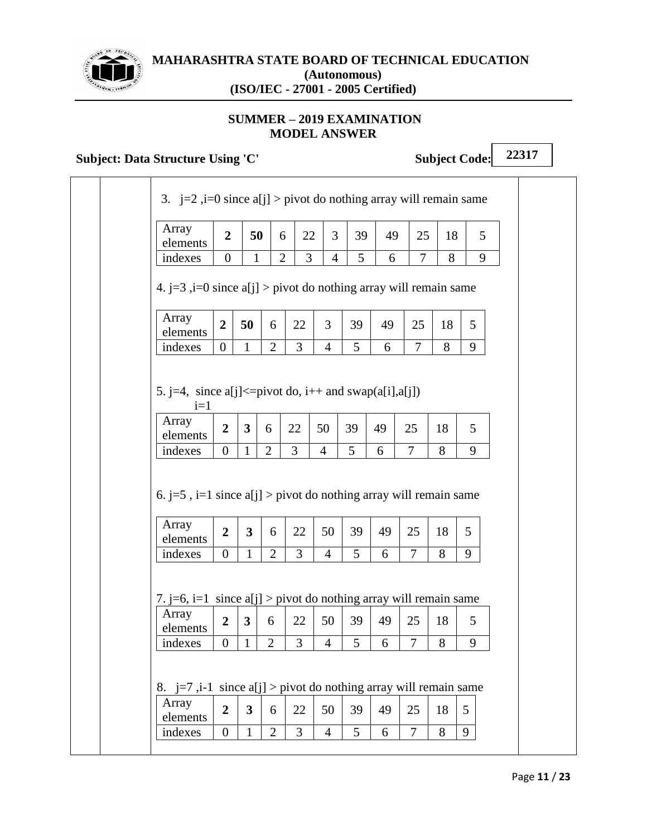

# **SUMMER – 2019 EXAMINATION MODEL ANSWER**

# **Subject: Data Structure Using 'C'** Subject Code:

| Array<br>elements                                                                        | $\overline{2}$                   | 50                                      |                     | 6                    | 22<br>3                          | 39                   | 49      |                      | 25             | 18      | 5      |
|------------------------------------------------------------------------------------------|----------------------------------|-----------------------------------------|---------------------|----------------------|----------------------------------|----------------------|---------|----------------------|----------------|---------|--------|
| indexes                                                                                  | $\boldsymbol{0}$                 | $\mathbf{1}$                            |                     | $\overline{2}$       | $\overline{3}$<br>$\overline{4}$ | 5 <sup>1</sup>       | 6       |                      | $\overline{7}$ | 8       | 9      |
| 4. $j=3$ , $i=0$ since $a[j] > pi$ vot do nothing array will remain same                 |                                  |                                         |                     |                      |                                  |                      |         |                      |                |         |        |
| Array<br>elements                                                                        | $\overline{2}$                   | 50                                      | 6                   | 22                   | 3                                | 39                   | 49      | 25                   |                | 18      | 5      |
| indexes                                                                                  | $\overline{0}$                   | 1                                       | $\overline{2}$      | 3                    | $\overline{4}$                   | 5                    | 6       | 7                    |                | 8       | 9      |
| Array<br>elements<br>indexes                                                             | $\overline{2}$<br>$\overline{0}$ | $\mathbf{3}$<br>$\mathbf{1}$            | 6<br>$\overline{2}$ | 22<br>$\overline{3}$ | 50<br>$\overline{4}$             | 39<br>5 <sup>5</sup> | 49<br>6 | 25<br>$\tau$         |                | 18<br>8 | 5      |
|                                                                                          |                                  |                                         |                     |                      |                                  |                      |         |                      |                |         | 9      |
| 6. j=5, i=1 since $a[j] > pi$ vot do nothing array will remain same<br>Array<br>elements | $\overline{2}$                   | $\mathbf{3}$                            | 6                   | 22                   | 50                               | 39                   | 49      | 25                   |                | 18      | 5      |
| indexes                                                                                  | $\overline{0}$                   | $\mathbf{1}$                            | $\overline{2}$      | $\overline{3}$       | $\overline{4}$                   | 5                    | 6       | $\overline{7}$       |                | 8       | 9      |
| 7. j=6, i=1 since $a[j] > pi$ vot do nothing array will remain same<br>Array<br>elements | $\overline{2}$                   | $\mathbf{3}$                            | 6                   | 22                   | 50                               | 39                   | 49      | 25                   |                | 18      | 5      |
| indexes                                                                                  | $\overline{0}$                   | $\mathbf{1}$                            | $\overline{2}$      | 3                    | $\overline{4}$                   | 5                    | 6       | $\overline{7}$       |                | 8       | 9      |
| 8. $j=7$ , i-1 since a[j] > pivot do nothing array will remain same                      |                                  |                                         |                     |                      |                                  |                      |         |                      |                |         |        |
| Array<br>elements<br>indexes                                                             | $\overline{2}$<br>$\overline{0}$ | $\overline{\mathbf{3}}$<br>$\mathbf{1}$ | 6<br>$\overline{2}$ | 22<br>3              | 50<br>$\overline{4}$             | 39<br>5              | 49<br>6 | 25<br>$\overline{7}$ |                | 18<br>8 | 5<br>9 |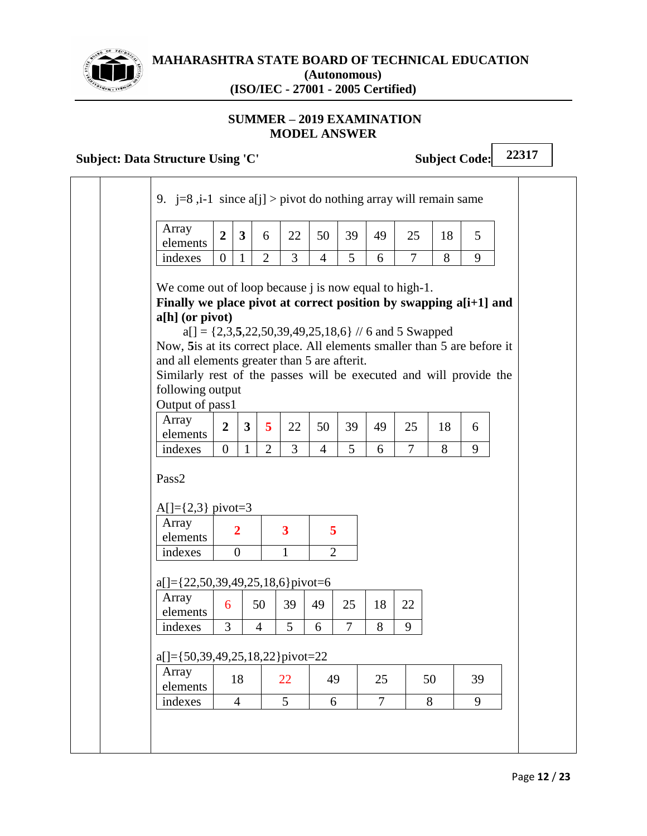

## **SUMMER – 2019 EXAMINATION MODEL ANSWER**

# **Subject: Data Structure Using 'C'** Subject Code:

| 9. j=8,i-1 since a[j] > pivot do nothing array will remain same                                                                                                                                                                                                                                                                                                                                  |                |                         |                |                         |                |                |                |                                                          |    |    |  |
|--------------------------------------------------------------------------------------------------------------------------------------------------------------------------------------------------------------------------------------------------------------------------------------------------------------------------------------------------------------------------------------------------|----------------|-------------------------|----------------|-------------------------|----------------|----------------|----------------|----------------------------------------------------------|----|----|--|
| Array<br>elements                                                                                                                                                                                                                                                                                                                                                                                | $\overline{2}$ | $\overline{\mathbf{3}}$ | 6              | 22                      | 50             | 39             | 49             | 25                                                       | 18 | 5  |  |
| indexes                                                                                                                                                                                                                                                                                                                                                                                          | $\overline{0}$ | $\mathbf{1}$            | $\overline{2}$ | 3                       | $\overline{4}$ | 5              | 6              | $\overline{7}$                                           | 8  | 9  |  |
| We come out of loop because <i>j</i> is now equal to high-1.<br>Finally we place pivot at correct position by swapping a[i+1] and<br>$a[h]$ (or pivot)<br>Now, 5 is at its correct place. All elements smaller than 5 are before it<br>and all elements greater than 5 are afterit.<br>Similarly rest of the passes will be executed and will provide the<br>following output<br>Output of pass1 |                |                         |                |                         |                |                |                | $a[] = \{2,3,5,22,50,39,49,25,18,6\}$ // 6 and 5 Swapped |    |    |  |
| Array                                                                                                                                                                                                                                                                                                                                                                                            |                |                         |                |                         |                |                |                |                                                          |    |    |  |
| elements                                                                                                                                                                                                                                                                                                                                                                                         | $\overline{2}$ | $\mathbf{3}$            | 5              | 22                      | 50             | 39             | 49             | 25                                                       | 18 | 6  |  |
| indexes                                                                                                                                                                                                                                                                                                                                                                                          | $\overline{0}$ | $\mathbf{1}$            | $\overline{2}$ | 3                       | $\overline{4}$ | 5              | 6              | $\overline{7}$                                           | 8  | 9  |  |
| Pass2<br>$A[]=\{2,3\}$ pivot=3<br>Array<br>elements                                                                                                                                                                                                                                                                                                                                              |                | $\overline{2}$          |                | $\overline{\mathbf{3}}$ | 5              |                |                |                                                          |    |    |  |
| indexes                                                                                                                                                                                                                                                                                                                                                                                          |                | $\overline{0}$          |                | $\mathbf{1}$            | $\overline{2}$ |                |                |                                                          |    |    |  |
| $a[] = \{22, 50, 39, 49, 25, 18, 6\}$ pivot=6                                                                                                                                                                                                                                                                                                                                                    |                |                         |                |                         |                |                |                |                                                          |    |    |  |
| Array<br>elements                                                                                                                                                                                                                                                                                                                                                                                | 6              |                         | 50             | 39                      | 49             | 25             | 18             | 22                                                       |    |    |  |
| indexes                                                                                                                                                                                                                                                                                                                                                                                          | 3              |                         | $\overline{4}$ | 5                       | 6              | $\overline{7}$ | 8              | 9                                                        |    |    |  |
| $a[] = {50,39,49,25,18,22}$ pivot=22                                                                                                                                                                                                                                                                                                                                                             |                |                         |                |                         |                |                |                |                                                          |    |    |  |
|                                                                                                                                                                                                                                                                                                                                                                                                  |                | 18                      |                | 22                      | 49             |                | 25             |                                                          | 50 | 39 |  |
| Array<br>elements<br>indexes                                                                                                                                                                                                                                                                                                                                                                     |                | $\overline{4}$          |                | 5                       |                | 6              | $\overline{7}$ |                                                          | 8  | 9  |  |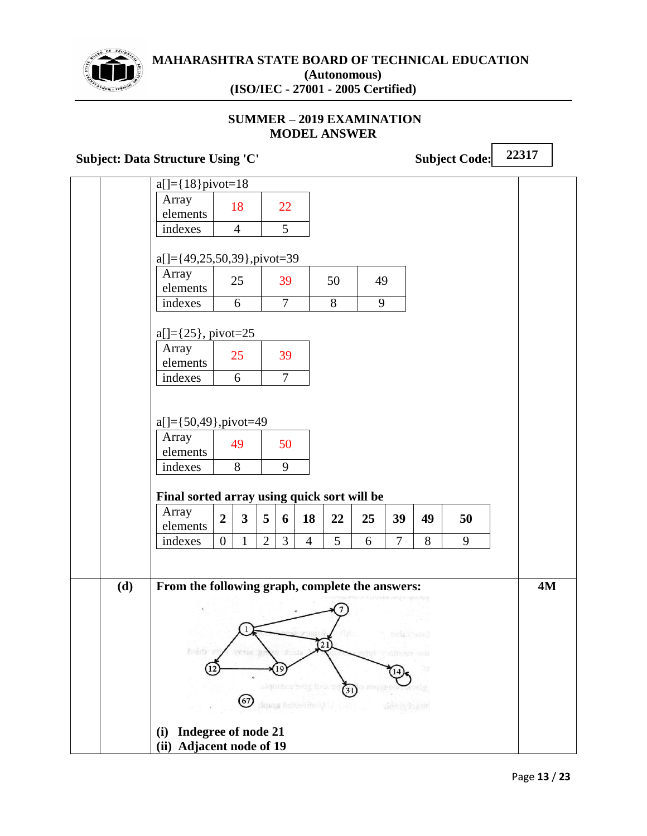

# **SUMMER – 2019 EXAMINATION MODEL ANSWER**

# **Subject: Data Structure Using 'C'** Subject Code:

|     | $a[] = {18}$ pivot=18                           |                  |                |                |                |                      |                              |          |                        |       |    |           |
|-----|-------------------------------------------------|------------------|----------------|----------------|----------------|----------------------|------------------------------|----------|------------------------|-------|----|-----------|
|     | Array<br>elements                               |                  | 18             |                | 22             |                      |                              |          |                        |       |    |           |
|     | indexes                                         |                  | $\overline{4}$ |                | 5              |                      |                              |          |                        |       |    |           |
|     | $a[] = \{49, 25, 50, 39\}$ , pivot=39           |                  |                |                |                |                      |                              |          |                        |       |    |           |
|     | Array<br>elements                               |                  | 25             |                | 39             |                      | 50                           | 49       |                        |       |    |           |
|     | indexes                                         |                  | 6              |                | $\overline{7}$ |                      | 8                            | 9        |                        |       |    |           |
|     | $a[] = \{25\}$ , pivot=25                       |                  |                |                |                |                      |                              |          |                        |       |    |           |
|     | Array<br>elements                               |                  | 25             |                | 39             |                      |                              |          |                        |       |    |           |
|     | indexes                                         |                  | 6              |                | $\tau$         |                      |                              |          |                        |       |    |           |
|     |                                                 |                  |                |                |                |                      |                              |          |                        |       |    |           |
|     | $a[] = {50,49}$ , pivot=49                      |                  |                |                |                |                      |                              |          |                        |       |    |           |
|     | Array<br>elements                               |                  | 49             |                | 50             |                      |                              |          |                        |       |    |           |
|     | indexes                                         |                  | 8              |                | 9              |                      |                              |          |                        |       |    |           |
|     |                                                 |                  |                |                |                |                      |                              |          |                        |       |    |           |
|     | Final sorted array using quick sort will be     |                  |                |                |                |                      |                              |          |                        |       |    |           |
|     | Array<br>elements                               | $\boldsymbol{2}$ | $\mathbf{3}$   | 5              | 6              | 18                   | 22                           | 25       | 39                     | 49    | 50 |           |
|     | indexes                                         | $\overline{0}$   | $\mathbf{1}$   | $\overline{2}$ | $\overline{3}$ | $\overline{4}$       | 5                            | 6        | $\overline{7}$         | 8     | 9  |           |
|     |                                                 |                  |                |                |                |                      |                              |          |                        |       |    |           |
| (d) | From the following graph, complete the answers: |                  |                |                |                |                      |                              |          |                        |       |    | <b>4M</b> |
|     |                                                 |                  |                |                |                |                      |                              |          |                        |       |    |           |
|     |                                                 |                  |                |                |                |                      |                              |          |                        |       |    |           |
|     |                                                 |                  |                |                |                |                      |                              |          | bain yeard             |       |    |           |
|     | 0.442                                           |                  | FILE R         |                |                |                      |                              |          | TRESPORT CHIL          |       |    |           |
|     |                                                 |                  |                |                | 19             |                      |                              |          |                        |       |    |           |
|     |                                                 |                  | (67)           |                |                | ulquiaz stavig brist | (31)                         | ) 25GV49 |                        | stin. |    |           |
|     |                                                 |                  |                |                |                |                      | dquag besteed the UF 2 (1887 |          | $\dim(\eta)$ is a site |       |    |           |
|     | Indegree of node 21<br>(i)                      |                  |                |                |                |                      |                              |          |                        |       |    |           |
|     | <b>Adjacent node of 19</b><br>(ii)              |                  |                |                |                |                      |                              |          |                        |       |    |           |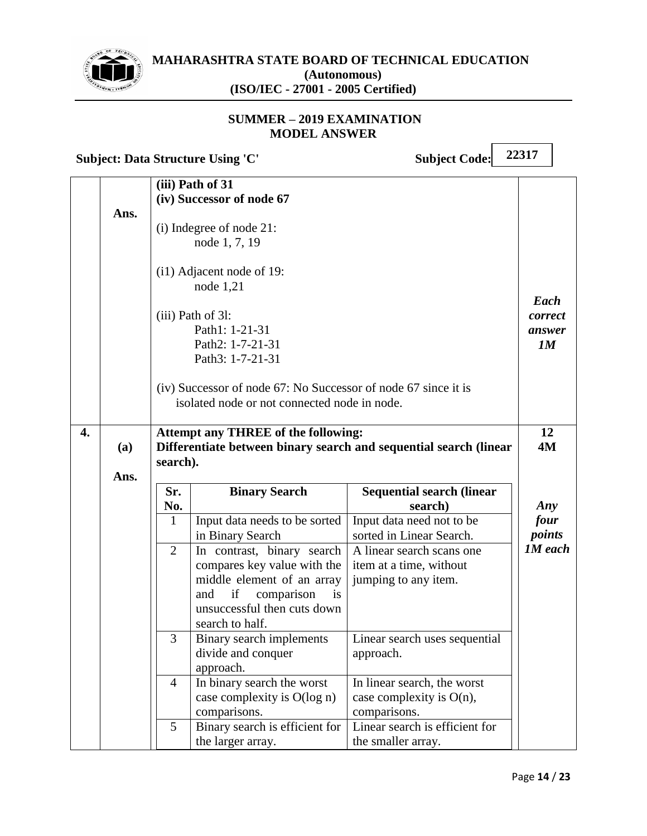

## **SUMMER – 2019 EXAMINATION MODEL ANSWER**

**Subject: Data Structure Using 'C'** Subject Code:

|    |      |                | (iii) Path of 31<br>(iv) Successor of node 67                                                                                                                              |                                                                              |                                 |
|----|------|----------------|----------------------------------------------------------------------------------------------------------------------------------------------------------------------------|------------------------------------------------------------------------------|---------------------------------|
|    | Ans. |                | (i) Indegree of node 21:<br>node 1, 7, 19                                                                                                                                  |                                                                              |                                 |
|    |      |                | $(i1)$ Adjacent node of 19:<br>node $1,21$<br>$(iii)$ Path of 31:<br>Path1: 1-21-31<br>Path2: 1-7-21-31<br>Path3: 1-7-21-31                                                |                                                                              | Each<br>correct<br>answer<br>1M |
|    |      |                | (iv) Successor of node 67: No Successor of node 67 since it is<br>isolated node or not connected node in node.                                                             |                                                                              |                                 |
| 4. | (a)  | search).       | <b>Attempt any THREE of the following:</b>                                                                                                                                 | Differentiate between binary search and sequential search (linear            | 12<br><b>4M</b>                 |
|    | Ans. |                |                                                                                                                                                                            |                                                                              |                                 |
|    |      | Sr.<br>No.     | <b>Binary Search</b>                                                                                                                                                       | <b>Sequential search (linear</b><br>search)                                  | Any                             |
|    |      | 1              | Input data needs to be sorted<br>in Binary Search                                                                                                                          | Input data need not to be<br>sorted in Linear Search.                        | four<br>points                  |
|    |      | $\overline{2}$ | In contrast, binary search<br>compares key value with the<br>middle element of an array<br>if<br>comparison<br>and<br>is<br>unsuccessful then cuts down<br>search to half. | A linear search scans one<br>item at a time, without<br>jumping to any item. | 1M each                         |
|    |      | 3              | Binary search implements<br>divide and conquer<br>approach.                                                                                                                | Linear search uses sequential<br>approach.                                   |                                 |
|    |      | $\overline{4}$ | In binary search the worst<br>case complexity is O(log n)<br>comparisons.                                                                                                  | In linear search, the worst<br>case complexity is $O(n)$ ,<br>comparisons.   |                                 |
|    |      | 5              | Binary search is efficient for<br>the larger array.                                                                                                                        | Linear search is efficient for<br>the smaller array.                         |                                 |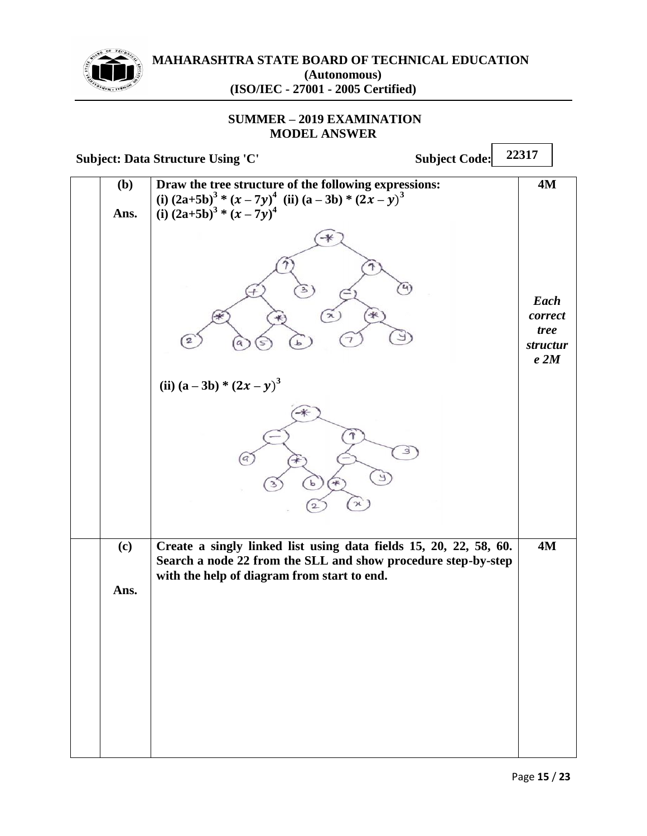

## **SUMMER – 2019 EXAMINATION MODEL ANSWER**

|             | <b>Subject: Data Structure Using 'C'</b><br><b>Subject Code:</b>                                                                                                                  | 22317                                      |
|-------------|-----------------------------------------------------------------------------------------------------------------------------------------------------------------------------------|--------------------------------------------|
| (b)<br>Ans. | Draw the tree structure of the following expressions:<br>(i) $(2a+5b)^3 * (x-7y)^4$ (ii) $(a-3b) * (2x-y)^3$<br>(i) $(2a+5b)^3 * (x-7y)^4$                                        | <b>4M</b>                                  |
|             | $\ast$                                                                                                                                                                            | Each<br>correct<br>tree<br>structur<br>e2M |
|             | (ii) $(a-3b) * (2x - y)^3$<br>q                                                                                                                                                   |                                            |
| (c)<br>Ans. | Create a singly linked list using data fields 15, 20, 22, 58, 60.<br>Search a node 22 from the SLL and show procedure step-by-step<br>with the help of diagram from start to end. | <b>4M</b>                                  |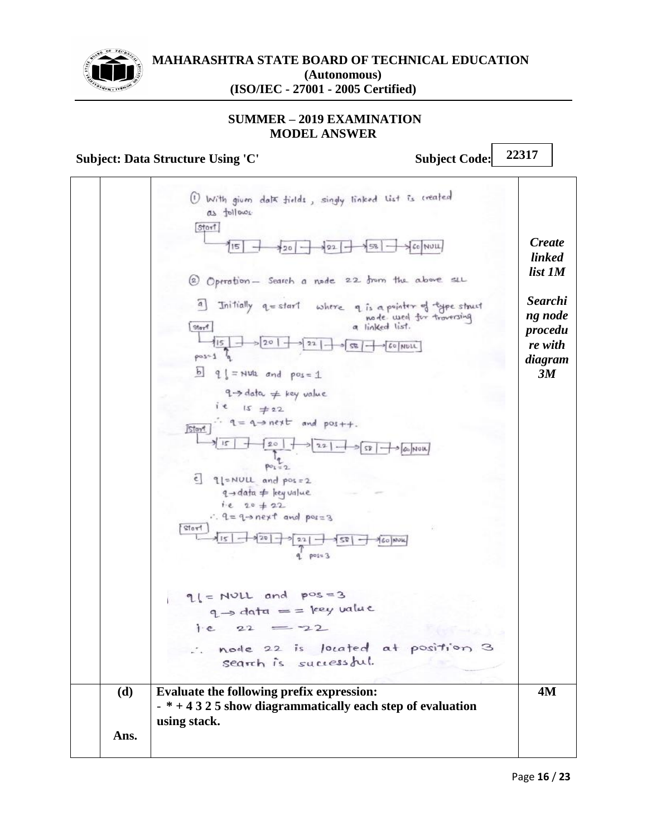

## **SUMMER – 2019 EXAMINATION MODEL ANSWER**

## **Subject: Data Structure Using 'C'** Subject Code:

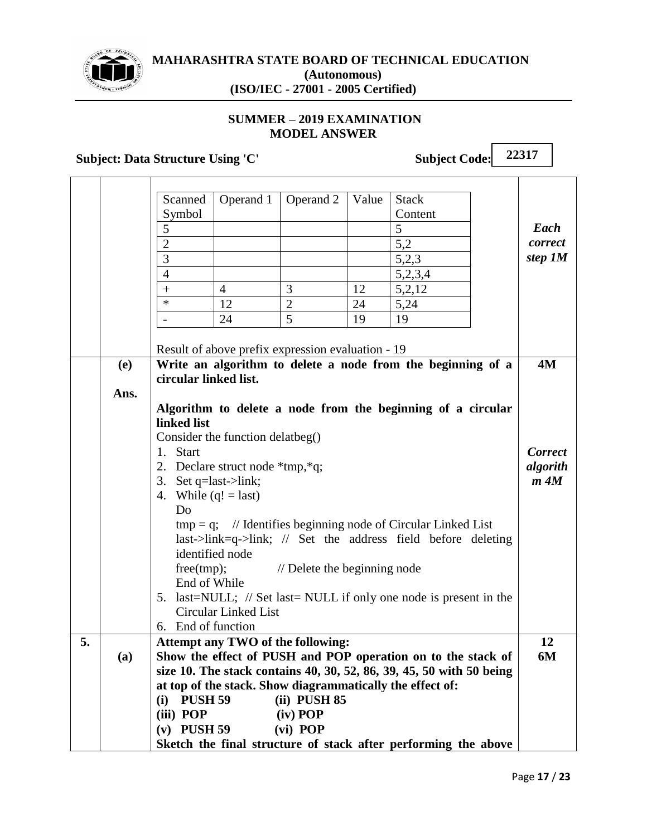

# **SUMMER – 2019 EXAMINATION MODEL ANSWER**

# **Subject: Data Structure Using 'C'** Subject Code:

**22317**

 $\overline{\phantom{a}}$ 

|    |                                                                    | Scanned                                                                                           | Operand 1             | Operand 2    | Value | <b>Stack</b> |  |    |  |  |  |  |  |  |
|----|--------------------------------------------------------------------|---------------------------------------------------------------------------------------------------|-----------------------|--------------|-------|--------------|--|----|--|--|--|--|--|--|
|    |                                                                    | Symbol<br>Content                                                                                 |                       |              |       |              |  |    |  |  |  |  |  |  |
|    |                                                                    | 5<br>5                                                                                            |                       |              |       |              |  |    |  |  |  |  |  |  |
|    |                                                                    | $\overline{2}$<br>5,2                                                                             |                       |              |       |              |  |    |  |  |  |  |  |  |
|    |                                                                    | step 1M<br>3<br>5,2,3                                                                             |                       |              |       |              |  |    |  |  |  |  |  |  |
|    |                                                                    | $\overline{4}$<br>5,2,3,4                                                                         |                       |              |       |              |  |    |  |  |  |  |  |  |
|    |                                                                    | 3<br>12<br>5,2,12<br>$\overline{4}$<br>$^{+}$                                                     |                       |              |       |              |  |    |  |  |  |  |  |  |
|    |                                                                    | $\ast$<br>$\overline{2}$<br>12<br>5,24<br>24                                                      |                       |              |       |              |  |    |  |  |  |  |  |  |
|    |                                                                    |                                                                                                   | 24                    | 5            | 19    | 19           |  |    |  |  |  |  |  |  |
|    |                                                                    |                                                                                                   |                       |              |       |              |  |    |  |  |  |  |  |  |
|    |                                                                    | Result of above prefix expression evaluation - 19                                                 |                       |              |       |              |  |    |  |  |  |  |  |  |
|    | Write an algorithm to delete a node from the beginning of a<br>(e) |                                                                                                   |                       |              |       |              |  |    |  |  |  |  |  |  |
|    |                                                                    |                                                                                                   | circular linked list. |              |       |              |  |    |  |  |  |  |  |  |
|    | Ans.                                                               |                                                                                                   |                       |              |       |              |  |    |  |  |  |  |  |  |
|    |                                                                    | Algorithm to delete a node from the beginning of a circular                                       |                       |              |       |              |  |    |  |  |  |  |  |  |
|    |                                                                    | linked list                                                                                       |                       |              |       |              |  |    |  |  |  |  |  |  |
|    |                                                                    | Consider the function delatbeg()                                                                  |                       |              |       |              |  |    |  |  |  |  |  |  |
|    |                                                                    | 1. Start                                                                                          |                       |              |       |              |  |    |  |  |  |  |  |  |
|    |                                                                    | 2. Declare struct node *tmp, *q;                                                                  |                       |              |       |              |  |    |  |  |  |  |  |  |
|    |                                                                    | 3. Set $q=$ last->link;                                                                           |                       |              |       |              |  |    |  |  |  |  |  |  |
|    |                                                                    | 4. While $(q! = last)$                                                                            |                       |              |       |              |  |    |  |  |  |  |  |  |
|    |                                                                    | Do                                                                                                |                       |              |       |              |  |    |  |  |  |  |  |  |
|    |                                                                    | $tmp = q$ ; // Identifies beginning node of Circular Linked List                                  |                       |              |       |              |  |    |  |  |  |  |  |  |
|    |                                                                    | $last$ ->link=q->link; // Set the address field before deleting<br>identified node                |                       |              |       |              |  |    |  |  |  |  |  |  |
|    |                                                                    |                                                                                                   |                       |              |       |              |  |    |  |  |  |  |  |  |
|    |                                                                    | free(tmp);<br>// Delete the beginning node<br>End of While                                        |                       |              |       |              |  |    |  |  |  |  |  |  |
|    |                                                                    | 5. last=NULL; // Set last= NULL if only one node is present in the                                |                       |              |       |              |  |    |  |  |  |  |  |  |
|    |                                                                    | Circular Linked List                                                                              |                       |              |       |              |  |    |  |  |  |  |  |  |
|    |                                                                    | 6. End of function                                                                                |                       |              |       |              |  |    |  |  |  |  |  |  |
| 5. |                                                                    |                                                                                                   |                       |              |       |              |  | 12 |  |  |  |  |  |  |
|    | (a)                                                                | Attempt any TWO of the following:<br>Show the effect of PUSH and POP operation on to the stack of |                       |              |       |              |  |    |  |  |  |  |  |  |
|    |                                                                    | size 10. The stack contains 40, 30, 52, 86, 39, 45, 50 with 50 being                              |                       |              |       |              |  |    |  |  |  |  |  |  |
|    |                                                                    | at top of the stack. Show diagrammatically the effect of:                                         |                       |              |       |              |  |    |  |  |  |  |  |  |
|    |                                                                    | <b>PUSH 59</b><br>(i)                                                                             |                       | (ii) PUSH 85 |       |              |  |    |  |  |  |  |  |  |
|    |                                                                    | (iii) POP                                                                                         |                       | (iv) POP     |       |              |  |    |  |  |  |  |  |  |
|    |                                                                    | $(v)$ PUSH 59                                                                                     |                       | (vi) POP     |       |              |  |    |  |  |  |  |  |  |
|    |                                                                    | Sketch the final structure of stack after performing the above                                    |                       |              |       |              |  |    |  |  |  |  |  |  |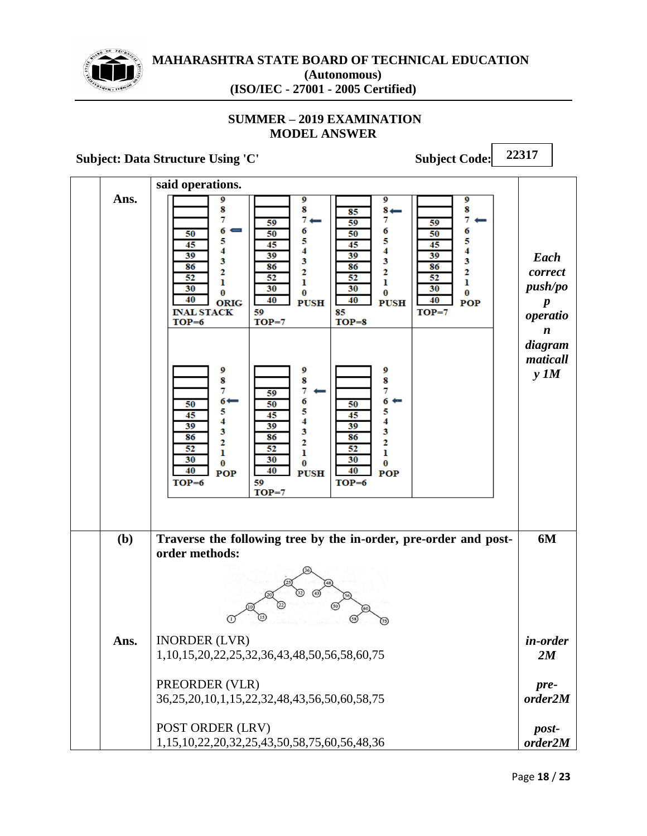

# **SUMMER – 2019 EXAMINATION MODEL ANSWER**

# **Subject: Data Structure Using 'C'** Subject Code:

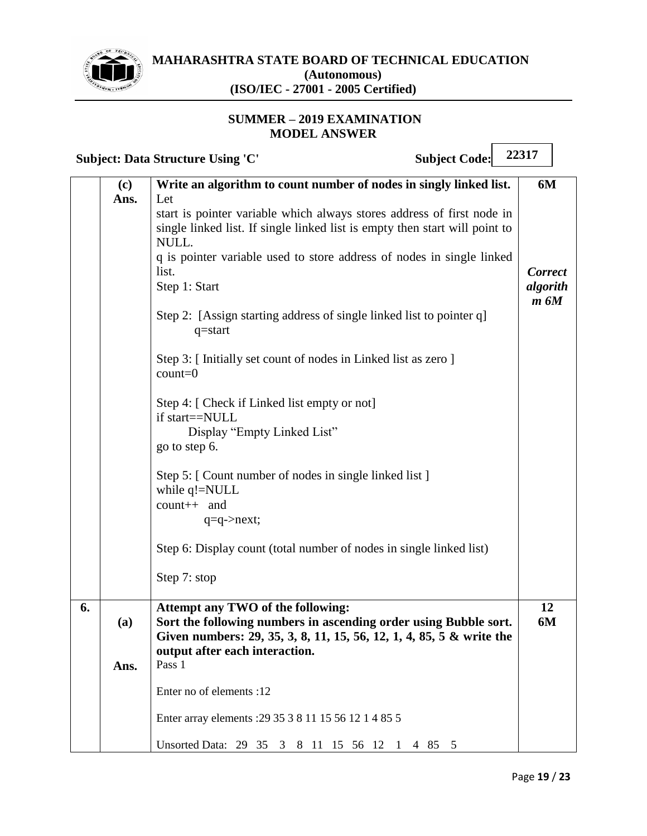

 $\overline{ }$ 

 $\overline{\phantom{a}}$ 

## **SUMMER – 2019 EXAMINATION MODEL ANSWER**

|    |             | <b>Subject Code:</b><br><b>Subject: Data Structure Using 'C'</b>                                                                                                                                                                                                                                                                                                                                                                                                                                                                                                                                                                                                                                                                                                                                                                           | 22317                                    |  |
|----|-------------|--------------------------------------------------------------------------------------------------------------------------------------------------------------------------------------------------------------------------------------------------------------------------------------------------------------------------------------------------------------------------------------------------------------------------------------------------------------------------------------------------------------------------------------------------------------------------------------------------------------------------------------------------------------------------------------------------------------------------------------------------------------------------------------------------------------------------------------------|------------------------------------------|--|
|    | (c)<br>Ans. | Write an algorithm to count number of nodes in singly linked list.<br>Let<br>start is pointer variable which always stores address of first node in<br>single linked list. If single linked list is empty then start will point to<br>NULL.<br>q is pointer variable used to store address of nodes in single linked<br>list.<br>Step 1: Start<br>Step 2: [Assign starting address of single linked list to pointer q]<br>$q = start$<br>Step 3: [Initially set count of nodes in Linked list as zero]<br>$count=0$<br>Step 4: [ Check if Linked list empty or not]<br>if start==NULL<br>Display "Empty Linked List"<br>go to step 6.<br>Step 5: [ Count number of nodes in single linked list ]<br>while q!=NULL<br>count++ and<br>$q = q$ ->next;<br>Step 6: Display count (total number of nodes in single linked list)<br>Step 7: stop | 6M<br><b>Correct</b><br>algorith<br>m 6M |  |
| 6. | (a)<br>Ans. | Attempt any TWO of the following:<br>Sort the following numbers in ascending order using Bubble sort.<br>Given numbers: 29, 35, 3, 8, 11, 15, 56, 12, 1, 4, 85, 5 & write the<br>output after each interaction.<br>Pass 1<br>Enter no of elements :12<br>Enter array elements : 29 35 3 8 11 15 56 12 1 4 85 5<br>Unsorted Data: 29 35 3 8 11 15 56 12 1 4 85 5                                                                                                                                                                                                                                                                                                                                                                                                                                                                            | 12<br>6M                                 |  |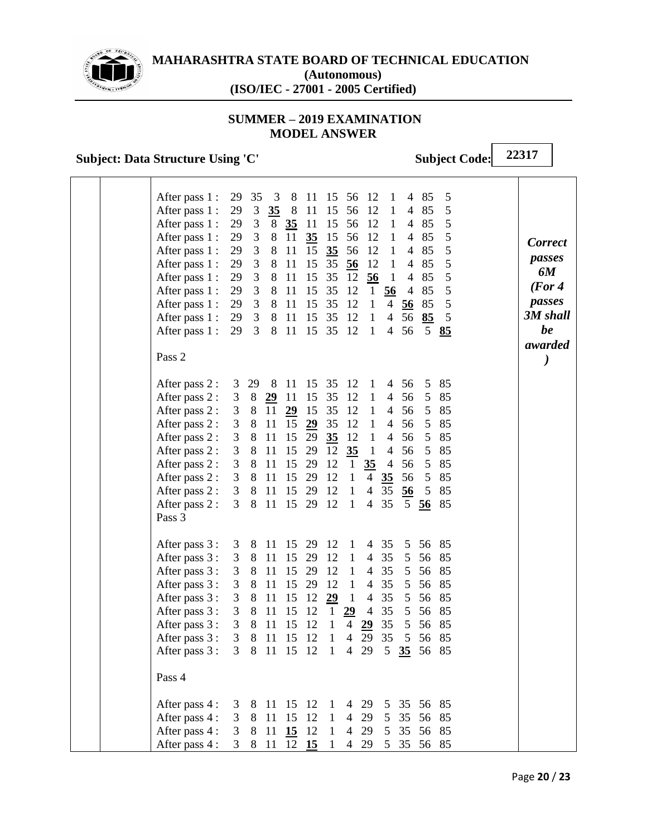

## **SUMMER – 2019 EXAMINATION MODEL ANSWER**

# **Subject: Data Structure Using 'C'** Subject Code:

|  | After pass 1 :<br>After pass 1 :<br>After pass 1 :<br>After pass 1 :<br>After pass 1 :<br>After pass 1 :<br>After pass 1 :<br>After pass 1 :<br>After pass 1 :<br>After pass 1 :<br>After pass 1 :<br>Pass 2 | 29<br>29<br>29<br>29<br>29<br>29<br>29<br>29<br>29 3<br>29 3<br>29 3                  | 35<br>$\mathfrak{Z}$<br>$\mathfrak 3$<br>3<br>3<br>3<br>$\overline{3}$<br>$\overline{3}$ | $\overline{\mathbf{3}}$<br>35<br>8<br>8<br>8<br>8<br>8<br>$8\,$<br>8<br>8<br>8 | 8<br>- 8<br>35<br>11<br>11<br>11<br><sup>11</sup><br>-11<br><sup>11</sup><br>11<br>11 | 11<br>11<br>11<br>35<br>15<br>15<br>15<br>15<br>15<br>15<br>15 | 15<br>15<br>15<br>15<br>35<br>35<br>35<br>35<br>35<br>35<br>35       | 56<br>56<br>56<br>56<br>56<br>$\frac{56}{5}$<br>12<br>12<br>-12<br>12<br>12                                                      | -12<br>12<br>12<br>12<br>12<br>12<br>56<br>$\mathbf{1}$<br>$\mathbf{1}$<br>$\mathbf{1}$<br>1                                                             | 1<br>$\mathbf{1}$<br>$\mathbf{1}$<br>$\mathbf{1}$<br>$\mathbf{1}$<br>1<br>$\mathbf{1}$<br>56<br>$\overline{4}$<br>$\overline{4}$<br>$\overline{4}$ | 4<br>$\overline{4}$<br>$\overline{4}$<br>$\overline{\mathcal{A}}$<br>$\overline{\mathcal{A}}$<br>4<br>4<br>$\overline{4}$<br>56<br>56<br>56 | 85<br>85<br>85<br>85<br>85<br>85<br>85<br>85<br>85<br>85<br>$5\overline{)}$ | 5<br>5<br>5<br>5<br>5<br>5<br>5<br>5<br>5<br>5<br>85     | <b>Correct</b><br>passes<br>6M<br>(For 4)<br>passes<br>3M shall<br>be<br>awarded |
|--|--------------------------------------------------------------------------------------------------------------------------------------------------------------------------------------------------------------|---------------------------------------------------------------------------------------|------------------------------------------------------------------------------------------|--------------------------------------------------------------------------------|---------------------------------------------------------------------------------------|----------------------------------------------------------------|----------------------------------------------------------------------|----------------------------------------------------------------------------------------------------------------------------------|----------------------------------------------------------------------------------------------------------------------------------------------------------|----------------------------------------------------------------------------------------------------------------------------------------------------|---------------------------------------------------------------------------------------------------------------------------------------------|-----------------------------------------------------------------------------|----------------------------------------------------------|----------------------------------------------------------------------------------|
|  | After pass 2 :<br>After pass 2 :<br>After pass 2 :<br>After pass 2 :<br>After pass 2 :<br>After pass 2 :<br>After pass 2 :<br>After pass 2 :<br>After pass 2 :<br>After pass 2 :<br>Pass 3                   | 3<br>3<br>3<br>3<br>3<br>3<br>3<br>3 <sup>7</sup><br>3 <sup>7</sup><br>3 <sup>7</sup> | 29<br>8<br>8<br>8<br>8<br>8<br>8<br>8<br>8<br>8                                          | 8<br>2911<br>11<br>11<br>11<br>11<br>11<br>11<br>11<br>11                      | 11<br>29<br>15<br>15<br>15<br>15<br>15<br>15 29<br>15                                 | 15<br>15<br>15<br>29<br>29<br>29<br>29<br>29<br>29             | 35<br>35<br>35<br>35<br>35<br>12<br>12<br>12<br>12<br>12             | 12<br>12<br>12<br>12<br>12<br>35<br>$\mathbf{1}$<br>$\mathbf{1}$<br>1<br>1                                                       | $\mathbf{1}$<br>$\mathbf{1}$<br>$\mathbf{1}$<br>$\mathbf{1}$<br>$\mathbf{1}$<br>$\mathbf{1}$<br>35<br>$\overline{4}$<br>$\overline{4}$<br>$\overline{4}$ | 4<br>$\overline{4}$<br>$\overline{4}$<br>$\overline{4}$<br>$\overline{4}$<br>$\overline{4}$<br>$\overline{4}$<br>35<br>35<br>35                    | 56<br>56<br>56<br>56<br>56<br>56<br>56<br>56<br>$\overline{56}$<br>5 <sup>5</sup>                                                           | 5<br>5<br>5<br>5<br>$5\overline{)}$<br>5<br>5<br>5<br>5<br>56               | 85<br>85<br>85<br>85<br>85<br>85<br>85<br>85<br>85<br>85 |                                                                                  |
|  | After pass 3 :<br>After pass 3 :<br>After pass 3 :<br>After pass 3 :<br>After pass 3 :<br>After pass 3 :<br>After pass 3 :<br>After pass 3 :<br>After pass 3: 3 8 11 15 12 1 4 29<br>Pass 4                  | 3<br>3<br>3<br>3<br>3<br>3<br>3<br>3                                                  | 8<br>8<br>8<br>8<br>8<br>8<br>8<br>8                                                     | 11<br>11<br>11<br>11<br>11<br>11<br>11                                         | 11 15 29 12<br>15<br>15<br>15<br>15<br>15<br>15<br>15                                 | 29<br>29<br>29<br>12<br>12<br>12<br>12                         | 12<br>12<br>12<br>29<br>$\mathbf{1}$<br>$\mathbf{1}$<br>$\mathbf{1}$ | $\mathbf{1}$<br>$\mathbf{1}$<br>$\mathbf{1}$<br>$\mathbf{1}$<br>$\mathbf{1}$<br>29<br>$\overline{\mathcal{A}}$<br>$\overline{4}$ | 4<br>$\overline{4}$<br>$\overline{4}$<br>$\overline{4}$<br>$\overline{4}$<br>$\overline{4}$<br>29<br>29                                                  | 35<br>35<br>35<br>35<br>35<br>35<br>35<br>35<br>5 <sup>5</sup>                                                                                     | 5<br>5<br>5<br>5<br>5<br>5<br>5<br>5<br>35                                                                                                  | 56<br>56<br>56<br>56<br>56<br>56<br>56<br>56<br>56                          | 85<br>85<br>85<br>85<br>85<br>85<br>85<br>85<br>85       |                                                                                  |
|  | After pass 4 :<br>After pass 4 :<br>After pass 4 :<br>After pass 4: 3 8 11 12 15 1                                                                                                                           |                                                                                       | 3 8 11                                                                                   |                                                                                | 3 8 11 15 12 1 4<br>15<br>3 8 11 15 12                                                | 12                                                             | $1\,$<br>$\mathbf{1}$                                                | $\overline{4}$<br>$\overline{4}$                                                                                                 | 29<br>29                                                                                                                                                 |                                                                                                                                                    |                                                                                                                                             | 29 5 35 56 85<br>5 35 56 85<br>5 35 56 85<br>4 29 5 35 56 85                |                                                          |                                                                                  |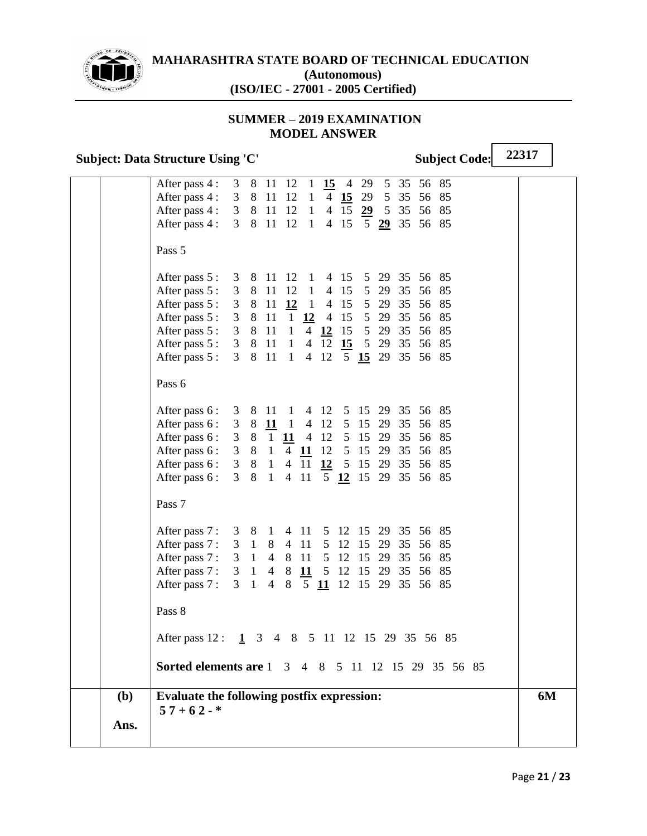

## **SUMMER – 2019 EXAMINATION MODEL ANSWER**

## Subject: Data Structure Using 'C' Subject Code:

**22317**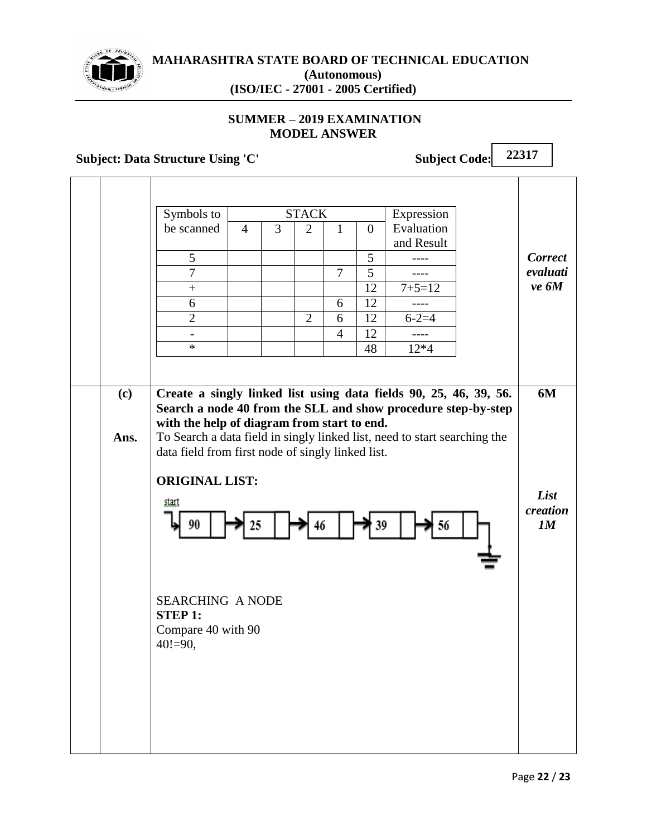

## **SUMMER – 2019 EXAMINATION MODEL ANSWER**

Symbols to be scanned

**Subject: Data Structure Using 'C'** Subject Code: **22317** STACK Expression Evaluation and Result 4 3 2 1 0 5 | | | | | 5 | ----7 | | | | | 7 | 5 | ----+ 12 7+5=12 6 | | | | | 6 | 12 | ----2 | | | 2 | 6 | 12 | 6-2=4 - | | | | 4 | 12 | ----\* 48 12\*4 *Correct evaluati ve 6M*

**(c) Ans. Create a singly linked list using data fields 90, 25, 46, 39, 56. Search a node 40 from the SLL and show procedure step-by-step with the help of diagram from start to end.** To Search a data field in singly linked list, need to start searching the data field from first node of singly linked list. **6M**